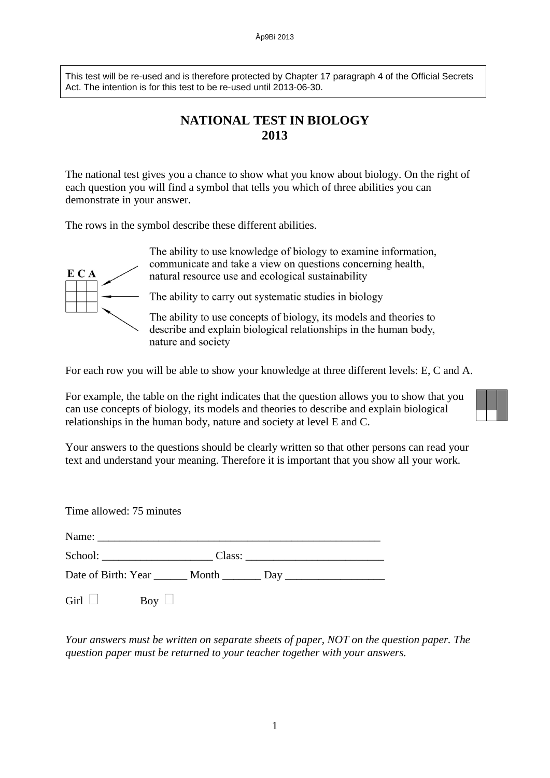This test will be re-used and is therefore protected by Chapter 17 paragraph 4 of the Official Secrets Act. The intention is for this test to be re-used until 2013-06-30.

## **NATIONAL TEST IN BIOLOGY 2013**

The national test gives you a chance to show what you know about biology. On the right of each question you will find a symbol that tells you which of three abilities you can demonstrate in your answer.

The rows in the symbol describe these different abilities.



The ability to use knowledge of biology to examine information, communicate and take a view on questions concerning health, natural resource use and ecological sustainability

The ability to carry out systematic studies in biology

The ability to use concepts of biology, its models and theories to describe and explain biological relationships in the human body, nature and society

For each row you will be able to show your knowledge at three different levels: E, C and A.

For example, the table on the right indicates that the question allows you to show that you can use concepts of biology, its models and theories to describe and explain biological relationships in the human body, nature and society at level E and C.

Your answers to the questions should be clearly written so that other persons can read your text and understand your meaning. Therefore it is important that you show all your work.

| Time allowed: 75 minutes                                                         |  |
|----------------------------------------------------------------------------------|--|
|                                                                                  |  |
| School: _________________________________Class: ________________________________ |  |
|                                                                                  |  |
| Girl $\Box$ Boy $\Box$                                                           |  |

*Your answers must be written on separate sheets of paper, NOT on the question paper. The question paper must be returned to your teacher together with your answers.*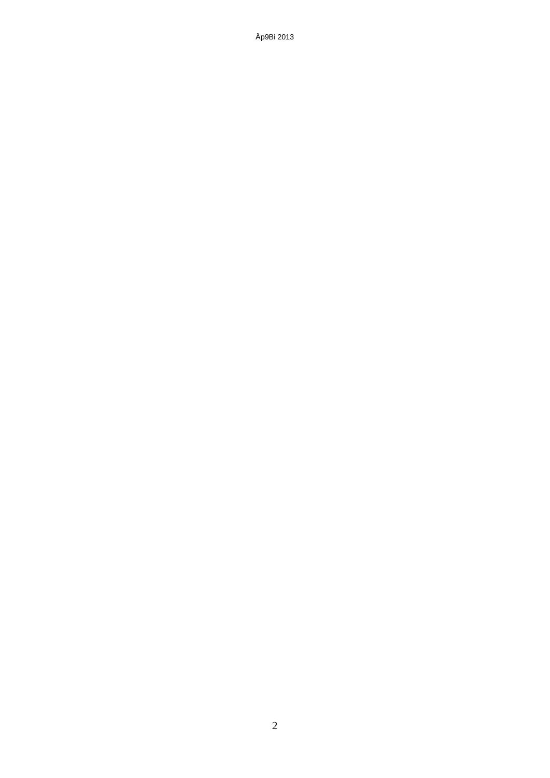Äp9Bi 2013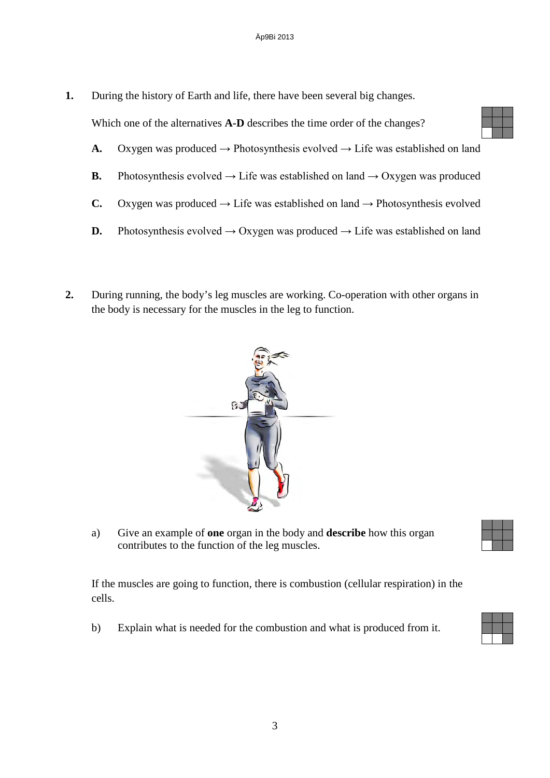**1.** During the history of Earth and life, there have been several big changes.

Which one of the alternatives **A-D** describes the time order of the changes?



- **A.** Oxygen was produced  $\rightarrow$  Photosynthesis evolved  $\rightarrow$  Life was established on land
- **B.** Photosynthesis evolved  $\rightarrow$  Life was established on land  $\rightarrow$  Oxygen was produced
- **C.** Oxygen was produced  $\rightarrow$  Life was established on land  $\rightarrow$  Photosynthesis evolved
- **D.** Photosynthesis evolved  $\rightarrow$  Oxygen was produced  $\rightarrow$  Life was established on land
- **2.** During running, the body's leg muscles are working. Co-operation with other organs in the body is necessary for the muscles in the leg to function.



a) Give an example of **one** organ in the body and **describe** how this organ contributes to the function of the leg muscles.

If the muscles are going to function, there is combustion (cellular respiration) in the cells.

b) Explain what is needed for the combustion and what is produced from it.

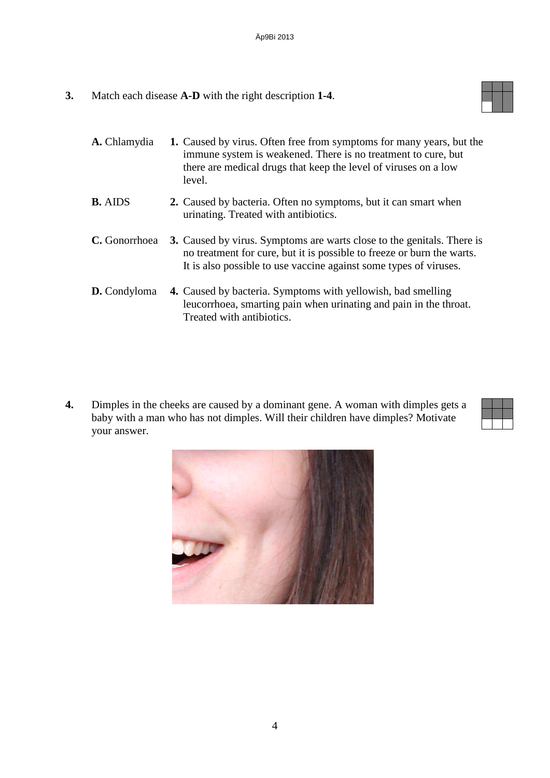Äp9Bi 2013

**3.** Match each disease **A-D** with the right description **1-4**.

| A. Chlamydia        | 1. Caused by virus. Often free from symptoms for many years, but the<br>immune system is weakened. There is no treatment to cure, but<br>there are medical drugs that keep the level of viruses on a low<br>level.           |
|---------------------|------------------------------------------------------------------------------------------------------------------------------------------------------------------------------------------------------------------------------|
| <b>B.</b> AIDS      | <b>2.</b> Caused by bacteria. Often no symptoms, but it can smart when<br>urinating. Treated with antibiotics.                                                                                                               |
| C. Gonorrhoea       | <b>3.</b> Caused by virus. Symptoms are warts close to the genitals. There is<br>no treatment for cure, but it is possible to freeze or burn the warts.<br>It is also possible to use vaccine against some types of viruses. |
| <b>D.</b> Condyloma | 4. Caused by bacteria. Symptoms with yellowish, bad smelling<br>leucorrhoea, smarting pain when urinating and pain in the throat.<br>Treated with antibiotics.                                                               |

**4.** Dimples in the cheeks are caused by a dominant gene. A woman with dimples gets a baby with a man who has not dimples. Will their children have dimples? Motivate your answer.



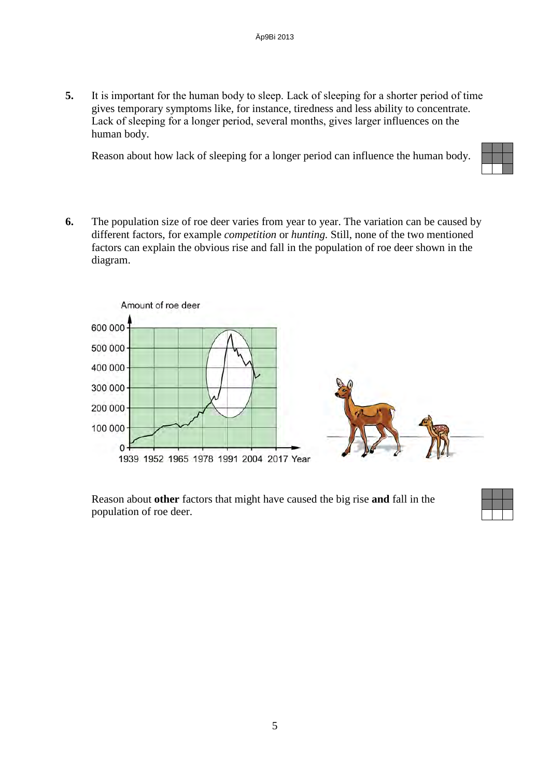**5.** It is important for the human body to sleep. Lack of sleeping for a shorter period of time gives temporary symptoms like, for instance, tiredness and less ability to concentrate. Lack of sleeping for a longer period, several months, gives larger influences on the human body.

Reason about how lack of sleeping for a longer period can influence the human body.

**6.** The population size of roe deer varies from year to year. The variation can be caused by different factors, for example *competition* or *hunting.* Still, none of the two mentioned factors can explain the obvious rise and fall in the population of roe deer shown in the diagram.



Reason about **other** factors that might have caused the big rise **and** fall in the population of roe deer.

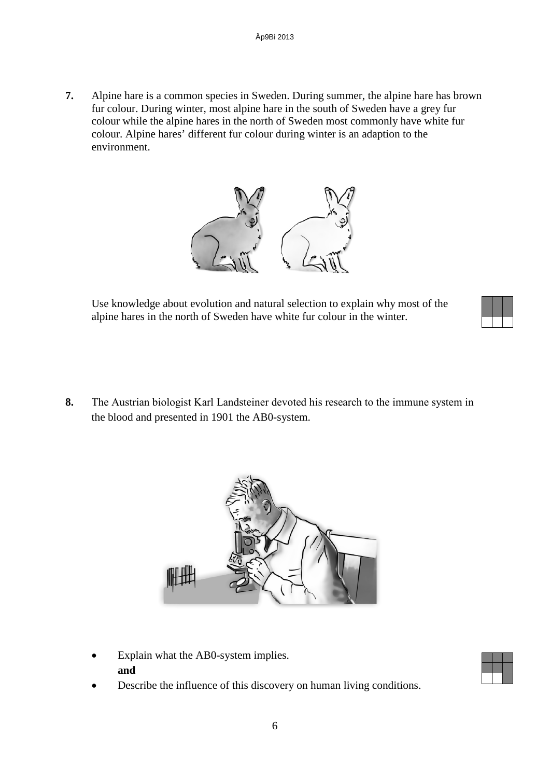**7.** Alpine hare is a common species in Sweden. During summer, the alpine hare has brown fur colour. During winter, most alpine hare in the south of Sweden have a grey fur colour while the alpine hares in the north of Sweden most commonly have white fur colour. Alpine hares' different fur colour during winter is an adaption to the environment.



Use knowledge about evolution and natural selection to explain why most of the alpine hares in the north of Sweden have white fur colour in the winter.

**8.** The Austrian biologist Karl Landsteiner devoted his research to the immune system in the blood and presented in 1901 the AB0-system.



- Explain what the AB0-system implies. **and**
- Describe the influence of this discovery on human living conditions.